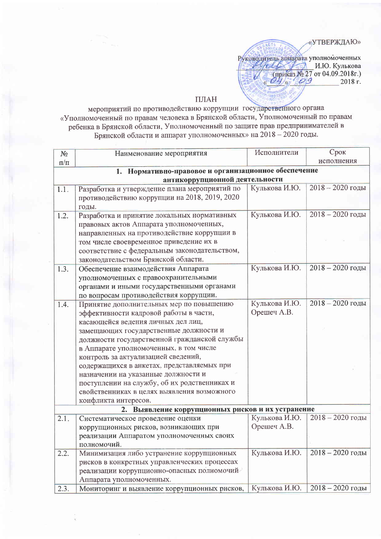«УТВЕРЖДАЮ»

Руководитель аппарата уполномоченных  $\frac{\sqrt{666 \times 27}}{\sqrt{100}}$  M.HO. Кулькова<br>(приказ № 27 от 04.09.2018г.)<br>« 04 » © 9 2018 г.

## ПЛАН

мероприятий по противодействию коррупции государственного органа «Уполномоченный по правам человека в Брянской области, Уполномоченный по правам ребенка в Брянской области, Уполномоченный по защите прав предпринимателей в Брянской области и аппарат уполномоченных» на 2018 - 2020 годы.

| $N_2$     | Наименование мероприятия                             | Исполнители   | Срок               |  |
|-----------|------------------------------------------------------|---------------|--------------------|--|
| $\pi/\pi$ |                                                      |               | исполнения         |  |
|           | 1. Нормативно-правовое и организационное обеспечение |               |                    |  |
|           | антикоррупционной деятельности                       |               |                    |  |
| 1.1.      | Разработка и утверждение плана мероприятий по        | Кулькова И.Ю. | $2018 - 2020$ годы |  |
|           | противодействию коррупции на 2018, 2019, 2020        |               |                    |  |
|           | годы.                                                |               |                    |  |
| 1.2.      | Разработка и принятие локальных нормативных          | Кулькова И.Ю. | $2018 - 2020$ годы |  |
|           | правовых актов Аппарата уполномоченных,              |               |                    |  |
|           | направленных на противодействие коррупции в          |               |                    |  |
|           | том числе своевременное приведение их в              |               |                    |  |
|           | соответствие с федеральным законодательством,        |               |                    |  |
|           | законодательством Брянской области.                  |               |                    |  |
| 1.3.      | Обеспечение взаимодействия Аппарата                  | Кулькова И.Ю. | $2018 - 2020$ годы |  |
|           | уполномоченных с правоохранительными                 |               |                    |  |
|           | органами и иными государственными органами           |               |                    |  |
|           | по вопросам противодействия коррупции.               |               |                    |  |
| 1.4.      | Принятие дополнительных мер по повышению             | Кулькова И.Ю. | $2018 - 2020$ годы |  |
|           | эффективности кадровой работы в части,               | Орешеч А.В.   |                    |  |
|           | касающейся ведения личных дел лиц,                   |               |                    |  |
|           | замещающих государственные должности и               |               |                    |  |
|           | должности государственной гражданской службы         |               |                    |  |
|           | в Аппарате уполномоченных, в том числе               |               |                    |  |
|           | контроль за актуализацией сведений,                  |               |                    |  |
|           | содержащихся в анкетах, представляемых при           |               |                    |  |
|           | назначении на указанные должности и                  |               |                    |  |
|           | поступлении на службу, об их родственниках и         |               |                    |  |
|           | свойственниках в целях выявления возможного          |               |                    |  |
|           | конфликта интересов.                                 |               |                    |  |
|           | 2. Выявление коррупционных рисков и их устранение    |               |                    |  |
| 2.1.      | Систематическое проведение оценки                    | Кулькова И.Ю. | $2018 - 2020$ годы |  |
|           | коррупционных рисков, возникающих при                | Орешеч А.В.   |                    |  |
|           | реализации Аппаратом уполномоченных своих            |               |                    |  |
|           | полномочий.                                          |               |                    |  |
| 2.2.      | Минимизация либо устранение коррупционных            | Кулькова И.Ю. | $2018 - 2020$ годы |  |
|           | рисков в конкретных управленческих процессах         |               |                    |  |
|           | реализации коррупционно-опасных полномочий           |               |                    |  |
|           | Аппарата уполномоченных.                             |               |                    |  |
| 2.3.      | Мониторинг и выявление коррупционных рисков,         | Кулькова И.Ю. | $2018 - 2020$ годы |  |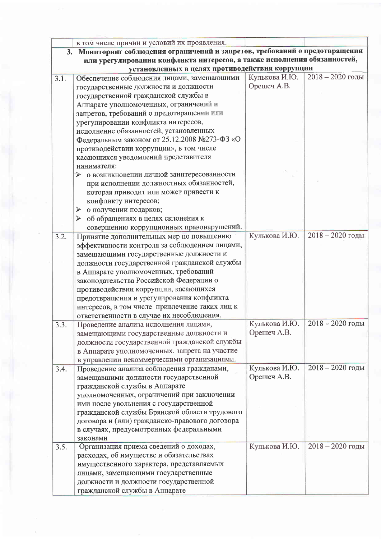|                                                                          | в том числе причин и условий их проявления.                                  |               |                    |
|--------------------------------------------------------------------------|------------------------------------------------------------------------------|---------------|--------------------|
|                                                                          | 3. Мониторинг соблюдения ограничений и запретов, требований о предотвращении |               |                    |
| или урегулировании конфликта интересов, а также исполнения обязанностей, |                                                                              |               |                    |
|                                                                          | установленных в целях противодействия коррупции                              |               |                    |
| 3.1.                                                                     | Обеспечение соблюдения лицами, замещающими                                   | Кулькова И.Ю. | $2018 - 2020$ годы |
|                                                                          | государственные должности и должности                                        | Орешеч А.В.   |                    |
|                                                                          | государственной гражданской службы в                                         |               |                    |
|                                                                          | Аппарате уполномоченных, ограничений и                                       |               |                    |
|                                                                          | запретов, требований о предотвращении или                                    |               |                    |
|                                                                          | урегулировании конфликта интересов,                                          |               |                    |
|                                                                          | исполнение обязанностей, установленных                                       |               |                    |
|                                                                          | Федеральным законом от 25.12.2008 №273-ФЗ «О                                 |               |                    |
|                                                                          | противодействии коррупции», в том числе                                      |               |                    |
|                                                                          | касающихся уведомлений представителя                                         |               |                    |
|                                                                          | нанимателя:                                                                  |               |                    |
|                                                                          | о возникновении личной заинтересованности<br>⋗                               |               |                    |
|                                                                          | при исполнении должностных обязанностей,                                     |               |                    |
|                                                                          | которая приводит или может привести к                                        |               |                    |
|                                                                          | конфликту интересов;                                                         |               |                    |
|                                                                          | о получении подарков;<br>➤                                                   |               |                    |
|                                                                          | • об обращениях в целях склонения к                                          |               |                    |
|                                                                          | совершению коррупционных правонарушений.                                     |               |                    |
| 3.2.                                                                     | Принятие дополнительных мер по повышению                                     | Кулькова И.Ю. | $2018 - 2020$ годы |
|                                                                          | эффективности контроля за соблюдением лицами,                                |               |                    |
|                                                                          | замещающими государственные должности и                                      |               |                    |
|                                                                          | должности государственной гражданской службы                                 |               |                    |
|                                                                          | в Аппарате уполномоченных, требований                                        |               |                    |
|                                                                          | законодательства Российской Федерации о                                      |               |                    |
|                                                                          | противодействии коррупции, касающихся                                        |               |                    |
|                                                                          | предотвращения и урегулирования конфликта                                    |               |                    |
|                                                                          | интересов, в том числе привлечение таких лиц к                               |               |                    |
|                                                                          | ответственности в случае их несоблюдения.                                    |               |                    |
| 3.3.                                                                     | Проведение анализа исполнения лицами,                                        | Кулькова И.Ю. | $2018 - 2020$ годы |
|                                                                          | замещающими государственные должности и                                      | Орешеч А.В.   |                    |
|                                                                          | должности государственной гражданской службы                                 |               |                    |
|                                                                          | в Аппарате уполномоченных, запрета на участие                                |               |                    |
|                                                                          | в управлении некоммерческими организациями.                                  |               |                    |
| 3.4.                                                                     | Проведение анализа соблюдения гражданами,                                    | Кулькова И.Ю. | $2018 - 2020$ годы |
|                                                                          | замещавшими должности государственной                                        | Орешеч А.В.   |                    |
|                                                                          | гражданской службы в Аппарате                                                |               |                    |
|                                                                          | уполномоченных, ограничений при заключении                                   |               |                    |
|                                                                          | ими после увольнения с государственной                                       |               |                    |
|                                                                          | гражданской службы Брянской области трудового                                |               |                    |
|                                                                          | договора и (или) гражданско-правового договора                               |               |                    |
|                                                                          | в случаях, предусмотренных федеральными                                      |               |                    |
|                                                                          | законами                                                                     |               |                    |
| 3.5.                                                                     | Организация приема сведений о доходах,                                       | Кулькова И.Ю. | $2018 - 2020$ годы |
|                                                                          | расходах, об имуществе и обязательствах                                      |               |                    |
|                                                                          | имущественного характера, представляемых                                     |               |                    |
|                                                                          | лицами, замещающими государственные                                          |               |                    |
|                                                                          | должности и должности государственной                                        |               |                    |
|                                                                          | гражданской службы в Аппарате                                                |               |                    |

 $\overline{\phantom{a}}$ 

 $\hat{c}$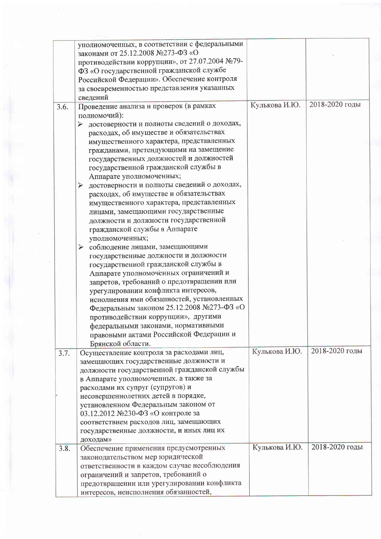|      | уполномоченных, в соответствии с федеральными<br>законами от 25.12.2008 №273-ФЗ «О |               |                |
|------|------------------------------------------------------------------------------------|---------------|----------------|
|      | противодействии коррупции», от 27.07.2004 №79-                                     |               |                |
|      | ФЗ «О государственной гражданской службе                                           |               |                |
|      | Российской Федерации». Обеспечение контроля                                        |               |                |
|      | за своевременностью представления указанных                                        |               |                |
|      |                                                                                    |               |                |
|      | сведений                                                                           | Кулькова И.Ю. | 2018-2020 годы |
| 3.6. | Проведение анализа и проверок (в рамках                                            |               |                |
|      | полномочий):                                                                       |               |                |
|      | достоверности и полноты сведений о доходах,<br>➤                                   |               |                |
|      | расходах, об имуществе и обязательствах                                            |               |                |
|      | имущественного характера, представленных                                           |               |                |
|      | гражданами, претендующими на замещение                                             |               |                |
|      | государственных должностей и должностей                                            |               |                |
|      | государственной гражданской службы в                                               |               |                |
|      | Аппарате уполномоченных;                                                           |               |                |
|      | достоверности и полноты сведений о доходах,<br>➤                                   |               |                |
|      | расходах, об имуществе и обязательствах                                            |               |                |
|      | имущественного характера, представленных                                           |               |                |
|      | лицами, замещающими государственные                                                |               |                |
|      | должности и должности государственной                                              |               |                |
|      | гражданской службы в Аппарате                                                      |               |                |
|      | уполномоченных;                                                                    |               |                |
|      | > соблюдение лицами, замещающими                                                   |               |                |
|      | государственные должности и должности                                              |               |                |
|      | государственной гражданской службы в                                               |               |                |
|      | Аппарате уполномоченных ограничений и                                              |               |                |
|      | запретов, требований о предотвращении или                                          |               |                |
|      | урегулировании конфликта интересов,                                                |               |                |
|      | исполнения ими обязанностей, установленных                                         |               |                |
|      | Федеральным законом 25.12.2008 №273-ФЗ «О                                          |               |                |
|      | противодействии коррупции», другими                                                |               |                |
|      | федеральными законами, нормативными                                                |               |                |
|      | правовыми актами Российской Федерации и                                            |               |                |
|      | Брянской области.                                                                  |               |                |
| 3.7. | Осуществление контроля за расходами лиц,                                           | Кулькова И.Ю. | 2018-2020 годы |
|      | замещающих государственные должности и                                             |               |                |
|      | должности государственной гражданской службы                                       |               |                |
|      | в Аппарате уполномоченных, а также за                                              |               |                |
|      | расходами их супруг (супругов) и                                                   |               |                |
|      | несовершеннолетних детей в порядке,                                                |               |                |
|      | установленном Федеральным законом от                                               |               |                |
|      | 03.12.2012 №230-ФЗ «О контроле за                                                  |               |                |
|      | соответствием расходов лиц, замещающих                                             |               |                |
|      | государственные должности, и иных лиц их                                           |               |                |
|      | доходам»                                                                           |               | 2018-2020 годы |
| 3.8. | Обеспечение применения предусмотренных                                             | Кулькова И.Ю. |                |
|      | законодательством мер юридической                                                  |               |                |
|      | ответственности в каждом случае несоблюдения                                       |               |                |
|      | ограничений и запретов, требований о                                               |               |                |
|      | предотвращении или урегулировании конфликта                                        |               |                |
|      | интересов, неисполнения обязанностей,                                              |               |                |

í.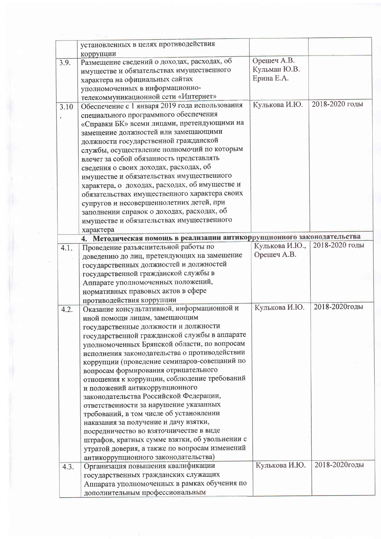|      | установленных в целях противодействия                                   |                |                |
|------|-------------------------------------------------------------------------|----------------|----------------|
|      | коррупции                                                               | Орешеч А.В.    |                |
| 3.9. | Размещение сведений о доходах, расходах, об                             | Кульман Ю.В.   |                |
|      | имуществе и обязательствах имущественного                               | Ерина Е.А.     |                |
|      | характера на официальных сайтах                                         |                |                |
|      | уполномоченных в информационно-                                         |                |                |
|      | телекоммуникационной сети «Интернет»                                    | Кулькова И.Ю.  | 2018-2020 годы |
| 3.10 | Обеспечение с 1 января 2019 года использования                          |                |                |
|      | специального программного обеспечения                                   |                |                |
|      | «Справки БК» всеми лицами, претендующими на                             |                |                |
|      | замещение должностей или замещающими                                    |                |                |
|      | должности государственной гражданской                                   |                |                |
|      | службы, осуществление полномочий по которым                             |                |                |
|      | влечет за собой обязанность представлять                                |                |                |
|      | сведения о своих доходах, расходах, об                                  |                |                |
|      | имуществе и обязательствах имущественного                               |                |                |
|      | характера, о доходах, расходах, об имуществе и                          |                |                |
|      | обязательствах имущественного характера своих                           |                |                |
|      | супругов и несовершеннолетних детей, при                                |                |                |
|      | заполнении справок о доходах, расходах, об                              |                |                |
|      | имуществе и обязательствах имущественного                               |                |                |
|      | характера                                                               |                |                |
|      | 4. Методическая помощь в реализации антикоррупционного законодательства |                |                |
| 4.1. | Проведение разъяснительной работы по                                    | Кулькова И.Ю., | 2018-2020 годы |
|      | доведению до лиц, претендующих на замещение                             | Орешеч А.В.    |                |
|      | государственных должностей и должностей                                 |                |                |
|      | государственной гражданской службы в                                    |                |                |
|      | Аппарате уполномоченных положений,                                      |                |                |
|      | нормативных правовых актов в сфере                                      |                |                |
|      | противодействия коррупции                                               |                |                |
| 4.2. | Оказание консультативной, информационной и                              | Кулькова И.Ю.  | 2018-2020годы  |
|      | иной помощи лицам, замещающим                                           |                |                |
|      | государственные должности и должности                                   |                |                |
|      | государственной гражданской службы в аппарате                           |                |                |
|      | уполномоченных Брянской области, по вопросам                            |                |                |
|      | исполнения законодательства о противодействии                           |                |                |
|      | коррупции (проведение семинаров-совещаний по                            |                |                |
|      | вопросам формирования отрицательного                                    |                |                |
|      | отношения к коррупции, соблюдение требований                            |                |                |
|      | и положений антикоррупционного                                          |                |                |
|      | законодательства Российской Федерации,                                  |                |                |
|      | ответственности за нарушение указанных                                  |                |                |
|      | требований, в том числе об установлении                                 |                |                |
|      | наказания за получение и дачу взятки,                                   |                |                |
|      | посредничество во взяточничестве в виде                                 |                |                |
|      | штрафов, кратных сумме взятки, об увольнении с                          |                |                |
|      | утратой доверия, а также по вопросам изменений                          |                |                |
|      |                                                                         |                |                |
|      | антикоррупционного законодательства)                                    | Кулькова И.Ю.  | 2018-2020годы  |
| 4.3. | Организация повышения квалификации                                      |                |                |
|      | государственных гражданских служащих                                    |                |                |
|      | Аппарата уполномоченных в рамках обучения по                            |                |                |
|      | дополнительным профессиональным                                         |                |                |

ÿ,